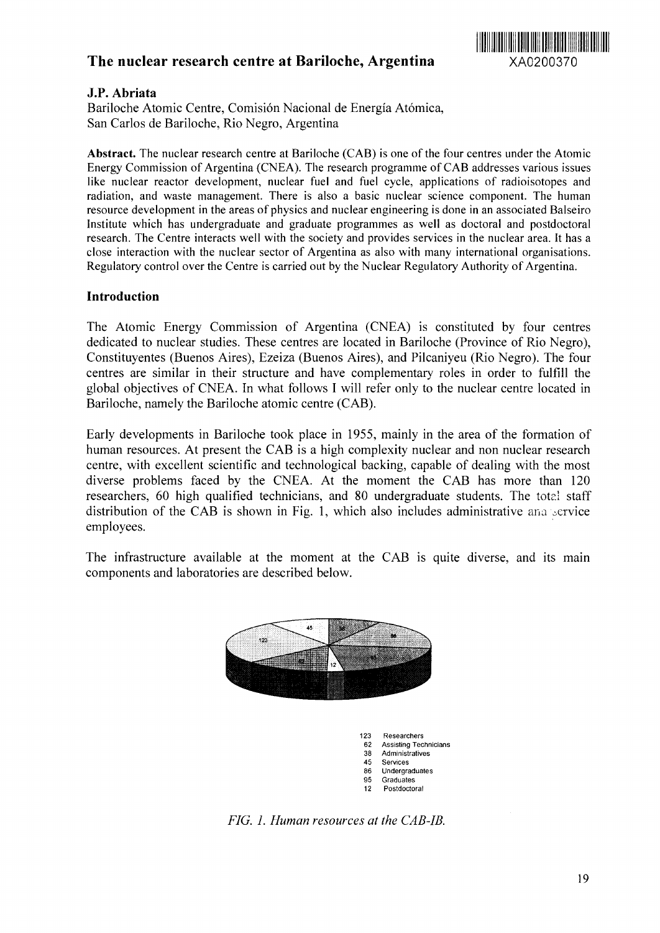# The nuclear research centre at Bariloche, Argentina XA0200370



#### **J.P. Abriata**

Bariloche Atomic Centre, Comision Nacional de Energia Atomica, San Carlos de Bariloche, Rio Negro, Argentina

**Abstract.** The nuclear research centre at Bariloche (CAB) is one of the four centres under the Atomic Energy Commission of Argentina (CNEA). The research programme of CAB addresses various issues like nuclear reactor development, nuclear fuel and fuel cycle, applications of radioisotopes and radiation, and waste management. There is also a basic nuclear science component. The human resource development in the areas of physics and nuclear engineering is done in an associated Balseiro Institute which has undergraduate and graduate programmes as well as doctoral and postdoctoral research. The Centre interacts well with the society and provides services in the nuclear area. It has a close interaction with the nuclear sector of Argentina as also with many international organisations. Regulatory control over the Centre is carried out by the Nuclear Regulatory Authority of Argentina.

#### **Introduction**

The Atomic Energy Commission of Argentina (CNEA) is constituted by four centres dedicated to nuclear studies. These centres are located in Bariloche (Province of Rio Negro), Constituyentes (Buenos Aires), Ezeiza (Buenos Aires), and Pilcaniyeu (Rio Negro). The four centres are similar in their structure and have complementary roles in order to fulfill the global objectives of CNEA. In what follows I will refer only to the nuclear centre located in Bariloche, namely the Bariloche atomic centre (CAB).

Early developments in Bariloche took place in 1955, mainly in the area of the formation of human resources. At present the CAB is a high complexity nuclear and non nuclear research centre, with excellent scientific and technological backing, capable of dealing with the most diverse problems faced by the CNEA. At the moment the CAB has more than 120 researchers, 60 high qualified technicians, and 80 undergraduate students. The total staff distribution of the CAB is shown in Fig. 1, which also includes administrative ana service employees.

The infrastructure available at the moment at the CAB is quite diverse, and its main components and laboratories are described below.



*FIG. 1. Human resources at the CAB-IB.*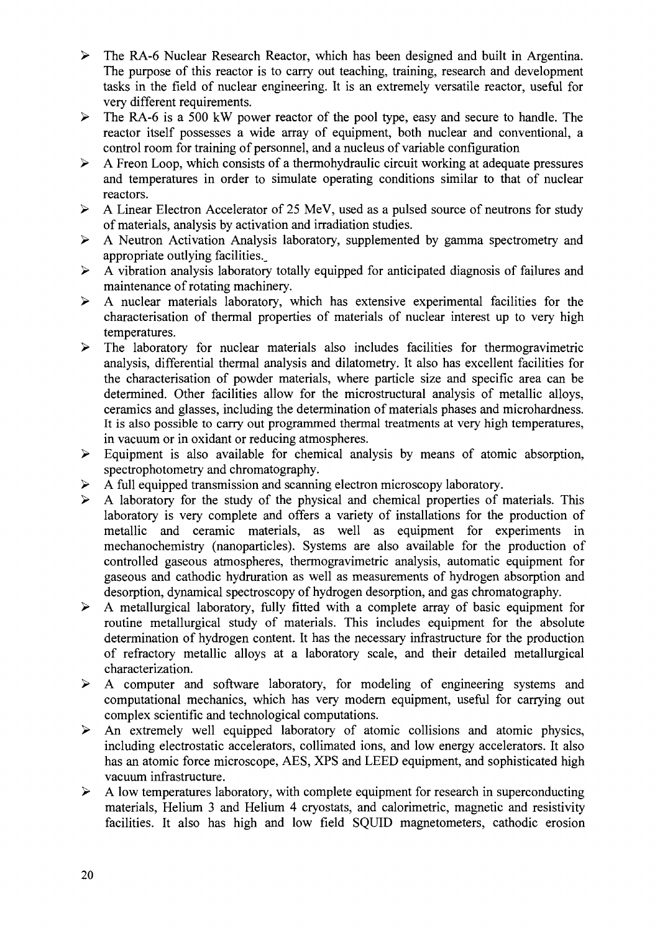- > The RA-6 Nuclear Research Reactor, which has been designed and built in Argentina. The purpose of this reactor is to carry out teaching, training, research and development tasks in the field of nuclear engineering. It is an extremely versatile reactor, useful for very different requirements.
- $\triangleright$  The RA-6 is a 500 kW power reactor of the pool type, easy and secure to handle. The reactor itself possesses a wide array of equipment, both nuclear and conventional, a control room for training of personnel, and a nucleus of variable configuration
- $\triangleright$  A Freon Loop, which consists of a thermohydraulic circuit working at adequate pressures and temperatures in order to simulate operating conditions similar to that of nuclear reactors.
- > A Linear Electron Accelerator of 25 MeV, used as a pulsed source of neutrons for study of materials, analysis by activation and irradiation studies.
- > A Neutron Activation Analysis laboratory, supplemented by gamma spectrometry and appropriate outlying facilities..
- $\triangleright$  A vibration analysis laboratory totally equipped for anticipated diagnosis of failures and maintenance of rotating machinery.
- $\triangleright$  A nuclear materials laboratory, which has extensive experimental facilities for the characterisation of thermal properties of materials of nuclear interest up to very high temperatures.
- $\triangleright$  The laboratory for nuclear materials also includes facilities for thermogravimetric analysis, differential thermal analysis and dilatometry. It also has excellent facilities for the characterisation of powder materials, where particle size and specific area can be determined. Other facilities allow for the microstructural analysis of metallic alloys, ceramics and glasses, including the determination of materials phases and microhardness. It is also possible to carry out programmed thermal treatments at very high temperatures, in vacuum or in oxidant or reducing atmospheres.
- $\triangleright$  Equipment is also available for chemical analysis by means of atomic absorption, spectrophotometry and chromatography.
- $\triangleright$  A full equipped transmission and scanning electron microscopy laboratory.
- $\triangleright$  A laboratory for the study of the physical and chemical properties of materials. This laboratory is very complete and offers a variety of installations for the production of metallic and ceramic materials, as well as equipment for experiments in mechanochemistry (nanoparticles). Systems are also available for the production of controlled gaseous atmospheres, thermogravimetric analysis, automatic equipment for gaseous and cathodic hydruration as well as measurements of hydrogen absorption and desorption, dynamical spectroscopy of hydrogen desorption, and gas chromatography.
- $\triangleright$  A metallurgical laboratory, fully fitted with a complete array of basic equipment for routine metallurgical study of materials. This includes equipment for the absolute determination of hydrogen content. It has the necessary infrastructure for the production of refractory metallic alloys at a laboratory scale, and their detailed metallurgical characterization.
- > A computer and software laboratory, for modeling of engineering systems and computational mechanics, which has very modern equipment, useful for carrying out complex scientific and technological computations.
- $\triangleright$  An extremely well equipped laboratory of atomic collisions and atomic physics, including electrostatic accelerators, collimated ions, and low energy accelerators. It also has an atomic force microscope, AES, XPS and LEED equipment, and sophisticated high vacuum infrastructure.
- $\triangleright$  A low temperatures laboratory, with complete equipment for research in superconducting materials, Helium 3 and Helium 4 cryostats, and calorimetric, magnetic and resistivity facilities. It also has high and low field SQUID magnetometers, cathodic erosion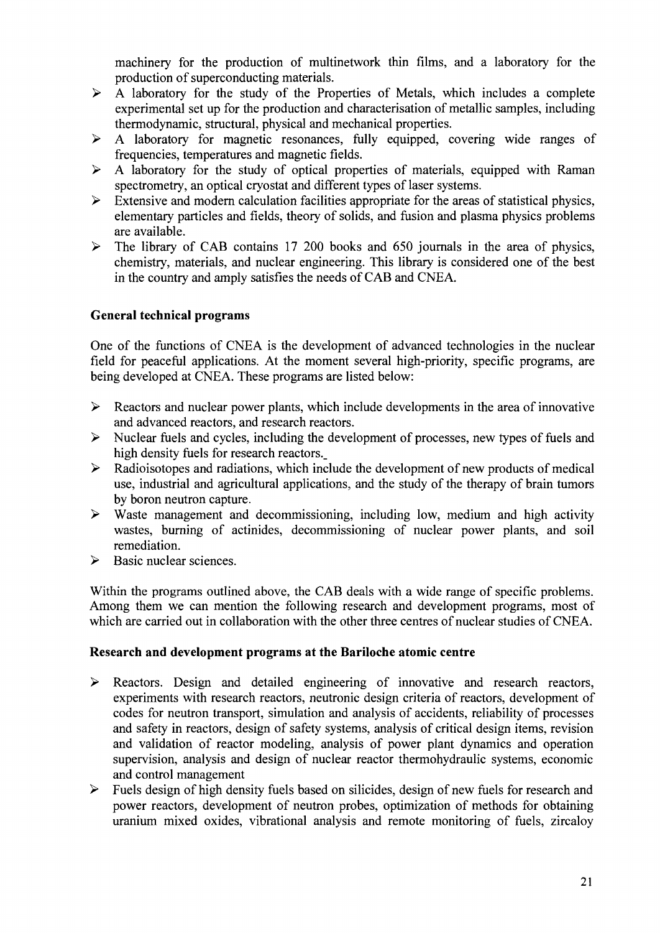machinery for the production of multinetwork thin films, and a laboratory for the production of superconducting materials.

- $\triangleright$  A laboratory for the study of the Properties of Metals, which includes a complete experimental set up for the production and characterisation of metallic samples, including thermodynamic, structural, physical and mechanical properties.
- $\triangleright$  A laboratory for magnetic resonances, fully equipped, covering wide ranges of frequencies, temperatures and magnetic fields.
- $\triangleright$  A laboratory for the study of optical properties of materials, equipped with Raman spectrometry, an optical cryostat and different types of laser systems.
- $\triangleright$  Extensive and modern calculation facilities appropriate for the areas of statistical physics, elementary particles and fields, theory of solids, and fusion and plasma physics problems are available.
- $\triangleright$  The library of CAB contains 17 200 books and 650 journals in the area of physics, chemistry, materials, and nuclear engineering. This library is considered one of the best in the country and amply satisfies the needs of CAB and CNEA.

# **General technical programs**

One of the functions of CNEA is the development of advanced technologies in the nuclear field for peaceful applications. At the moment several high-priority, specific programs, are being developed at CNEA. These programs are listed below:

- $\triangleright$  Reactors and nuclear power plants, which include developments in the area of innovative and advanced reactors, and research reactors.
- $\triangleright$  Nuclear fuels and cycles, including the development of processes, new types of fuels and high density fuels for research reactors.
- $\triangleright$  Radioisotopes and radiations, which include the development of new products of medical use, industrial and agricultural applications, and the study of the therapy of brain tumors by boron neutron capture.
- $\triangleright$  Waste management and decommissioning, including low, medium and high activity wastes, burning of actinides, decommissioning of nuclear power plants, and soil remediation.
- $\triangleright$  Basic nuclear sciences.

Within the programs outlined above, the CAB deals with a wide range of specific problems. Among them we can mention the following research and development programs, most of which are carried out in collaboration with the other three centres of nuclear studies of CNEA.

### **Research and development programs at the Bariloche atomic centre**

- > Reactors. Design and detailed engineering of innovative and research reactors, experiments with research reactors, neutronic design criteria of reactors, development of codes for neutron transport, simulation and analysis of accidents, reliability of processes and safety in reactors, design of safety systems, analysis of critical design items, revision and validation of reactor modeling, analysis of power plant dynamics and operation supervision, analysis and design of nuclear reactor thermohydraulic systems, economic and control management
- $\triangleright$  Fuels design of high density fuels based on silicides, design of new fuels for research and power reactors, development of neutron probes, optimization of methods for obtaining uranium mixed oxides, vibrational analysis and remote monitoring of fuels, zircaloy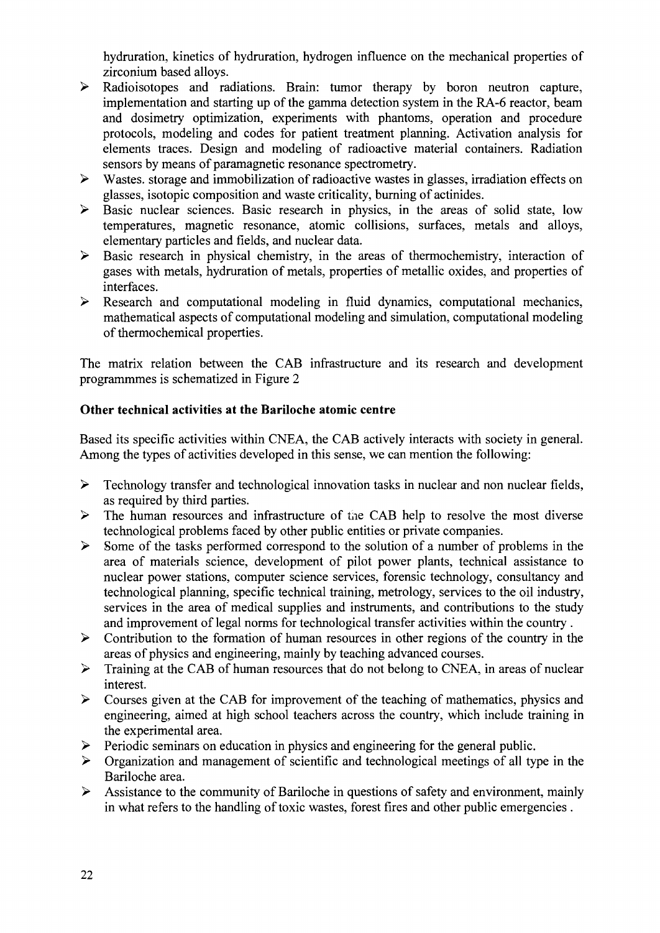hydruration, kinetics of hydruration, hydrogen influence on the mechanical properties of zirconium based alloys.

- > Radioisotopes and radiations. Brain: tumor therapy by boron neutron capture, implementation and starting up of the gamma detection system in the RA-6 reactor, beam and dosimetry optimization, experiments with phantoms, operation and procedure protocols, modeling and codes for patient treatment planning. Activation analysis for elements traces. Design and modeling of radioactive material containers. Radiation sensors by means of paramagnetic resonance spectrometry.
- $\triangleright$  Wastes, storage and immobilization of radioactive wastes in glasses, irradiation effects on glasses, isotopic composition and waste criticality, burning of actinides.
- > Basic nuclear sciences. Basic research in physics, in the areas of solid state, low temperatures, magnetic resonance, atomic collisions, surfaces, metals and alloys, elementary particles and fields, and nuclear data.
- $\triangleright$  Basic research in physical chemistry, in the areas of thermochemistry, interaction of gases with metals, hydruration of metals, properties of metallic oxides, and properties of interfaces.
- $\triangleright$  Research and computational modeling in fluid dynamics, computational mechanics, mathematical aspects of computational modeling and simulation, computational modeling of thermochemical properties.

The matrix relation between the CAB infrastructure and its research and development programmmes is schematized in Figure 2

# **Other technical activities at the Bariloche atomic centre**

Based its specific activities within CNEA, the CAB actively interacts with society in general. Among the types of activities developed in this sense, we can mention the following:

- $\triangleright$  Technology transfer and technological innovation tasks in nuclear and non nuclear fields, as required by third parties.
- $\triangleright$  The human resources and infrastructure of the CAB help to resolve the most diverse technological problems faced by other public entities or private companies.
- $\triangleright$  Some of the tasks performed correspond to the solution of a number of problems in the area of materials science, development of pilot power plants, technical assistance to nuclear power stations, computer science services, forensic technology, consultancy and technological planning, specific technical training, metrology, services to the oil industry, services in the area of medical supplies and instruments, and contributions to the study and improvement of legal norms for technological transfer activities within the country .
- $\triangleright$  Contribution to the formation of human resources in other regions of the country in the areas of physics and engineering, mainly by teaching advanced courses.
- > Training at the CAB of human resources that do not belong to CNEA, in areas of nuclear interest.
- $\triangleright$  Courses given at the CAB for improvement of the teaching of mathematics, physics and engineering, aimed at high school teachers across the country, which include training in the experimental area.
- > Periodic seminars on education in physics and engineering for the general public.
- $\triangleright$  Organization and management of scientific and technological meetings of all type in the Bariloche area.
- $\triangleright$  Assistance to the community of Bariloche in questions of safety and environment, mainly in what refers to the handling of toxic wastes, forest fires and other public emergencies .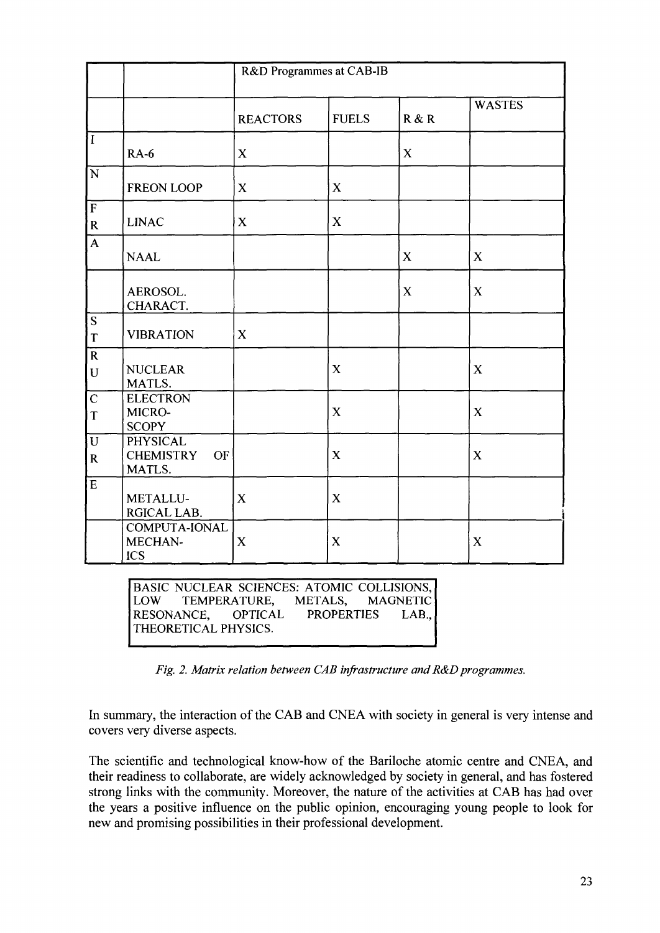|                               |                                                            | R&D Programmes at CAB-IB |              |             |               |
|-------------------------------|------------------------------------------------------------|--------------------------|--------------|-------------|---------------|
|                               |                                                            | <b>REACTORS</b>          | <b>FUELS</b> | R & R       | <b>WASTES</b> |
| $ \bar{I} $                   | <b>RA-6</b>                                                | $\mathbf X$              |              | $\mathbf X$ |               |
| $\overline{N}$                | <b>FREON LOOP</b>                                          | $\mathbf X$              | X            |             |               |
| $\overline{F}$<br>${\bf R}$   | <b>LINAC</b>                                               | $\mathbf X$              | $\mathbf X$  |             |               |
| $\overline{\mathbf{A}}$       | <b>NAAL</b>                                                |                          |              | $\mathbf X$ | X             |
|                               | AEROSOL.<br>CHARACT.                                       |                          |              | $\mathbf X$ | $\mathbf X$   |
| $\overline{\mathbf{S}}$<br>T  | <b>VIBRATION</b>                                           | $\mathbf X$              |              |             |               |
| $\overline{R}$<br>${\bf U}$   | <b>NUCLEAR</b><br>MATLS.                                   |                          | $\mathbf X$  |             | $\mathbf X$   |
| $\mathbf C$<br>T              | <b>ELECTRON</b><br>MICRO-<br><b>SCOPY</b>                  |                          | $\mathbf X$  |             | $\mathbf X$   |
| $\overline{U}$<br>$\mathbf R$ | <b>PHYSICAL</b><br><b>CHEMISTRY</b><br><b>OF</b><br>MATLS. |                          | $\mathbf X$  |             | $\mathbf X$   |
| $\overline{E}$                | METALLU-<br>RGICAL LAB.                                    | X                        | $\mathbf X$  |             |               |
|                               | COMPUTA-IONAL<br>MECHAN-<br><b>ICS</b>                     | $\mathbf X$              | $\mathbf X$  |             | $\mathbf X$   |

BASIC NUCLEAR SCIENCES: ATOMIC COLLISIONS,<br>LOW TEMPERATURE, METALS, MAGNETIC TEMPERATURE, METALS, MAGNETIC<br>NCE, OPTICAL PROPERTIES LAB., RESONANCE, THEORETICAL PHYSICS.

*Fig. 2. Matrix relation between CAB infrastructure and R&D programmes.*

In summary, the interaction of the CAB and CNEA with society in general is very intense and covers very diverse aspects.

The scientific and technological know-how of the Bariloche atomic centre and CNEA, and their readiness to collaborate, are widely acknowledged by society in general, and has fostered strong links with the community. Moreover, the nature of the activities at CAB has had over the years a positive influence on the public opinion, encouraging young people to look for new and promising possibilities in their professional development.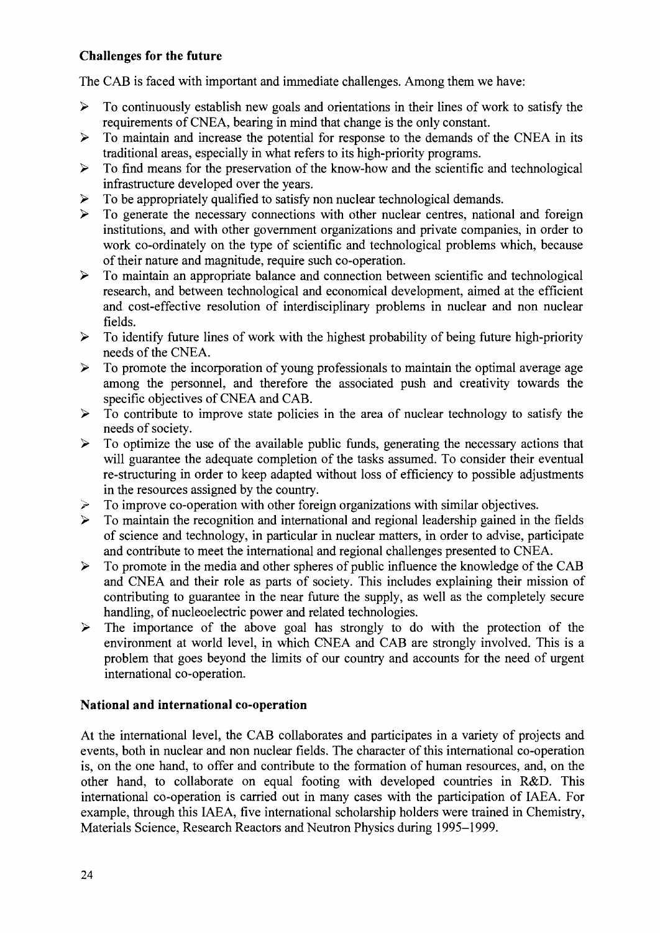# **Challenges for the future**

The CAB is faced with important and immediate challenges. Among them we have:

- $\triangleright$  To continuously establish new goals and orientations in their lines of work to satisfy the requirements of CNEA, bearing in mind that change is the only constant.
- $\triangleright$  To maintain and increase the potential for response to the demands of the CNEA in its traditional areas, especially in what refers to its high-priority programs.
- $\triangleright$  To find means for the preservation of the know-how and the scientific and technological infrastructure developed over the years.
- $\triangleright$  To be appropriately qualified to satisfy non nuclear technological demands.
- $\triangleright$  To generate the necessary connections with other nuclear centres, national and foreign institutions, and with other government organizations and private companies, in order to work co-ordinately on the type of scientific and technological problems which, because of their nature and magnitude, require such co-operation.
- $\triangleright$  To maintain an appropriate balance and connection between scientific and technological research, and between technological and economical development, aimed at the efficient and cost-effective resolution of interdisciplinary problems in nuclear and non nuclear fields.
- $\triangleright$  To identify future lines of work with the highest probability of being future high-priority needs of the CNEA.
- $\triangleright$  To promote the incorporation of young professionals to maintain the optimal average age among the personnel, and therefore the associated push and creativity towards the specific objectives of CNEA and CAB.
- $\triangleright$  To contribute to improve state policies in the area of nuclear technology to satisfy the needs of society.
- $\triangleright$  To optimize the use of the available public funds, generating the necessary actions that will guarantee the adequate completion of the tasks assumed. To consider their eventual re-structuring in order to keep adapted without loss of efficiency to possible adjustments in the resources assigned by the country.
- $\geq$  To improve co-operation with other foreign organizations with similar objectives.<br>  $\geq$  To maintain the recognition and international and regional leadership gained in the
- > To maintain the recognition and international and regional leadership gained in the fields of science and technology, in particular in nuclear matters, in order to advise, participate and contribute to meet the international and regional challenges presented to CNEA.
- $\triangleright$  To promote in the media and other spheres of public influence the knowledge of the CAB and CNEA and their role as parts of society. This includes explaining their mission of contributing to guarantee in the near future the supply, as well as the completely secure handling, of nucleoelectric power and related technologies.
- $\triangleright$  The importance of the above goal has strongly to do with the protection of the environment at world level, in which CNEA and CAB are strongly involved. This is a problem that goes beyond the limits of our country and accounts for the need of urgent international co-operation.

### **National and international co-operation**

At the international level, the CAB collaborates and participates in a variety of projects and events, both in nuclear and non nuclear fields. The character of this international co-operation is, on the one hand, to offer and contribute to the formation of human resources, and, on the other hand, to collaborate on equal footing with developed countries in R&D. This international co-operation is carried out in many cases with the participation of IAEA. For example, through this IAEA, five international scholarship holders were trained in Chemistry, Materials Science, Research Reactors and Neutron Physics during 1995-1999.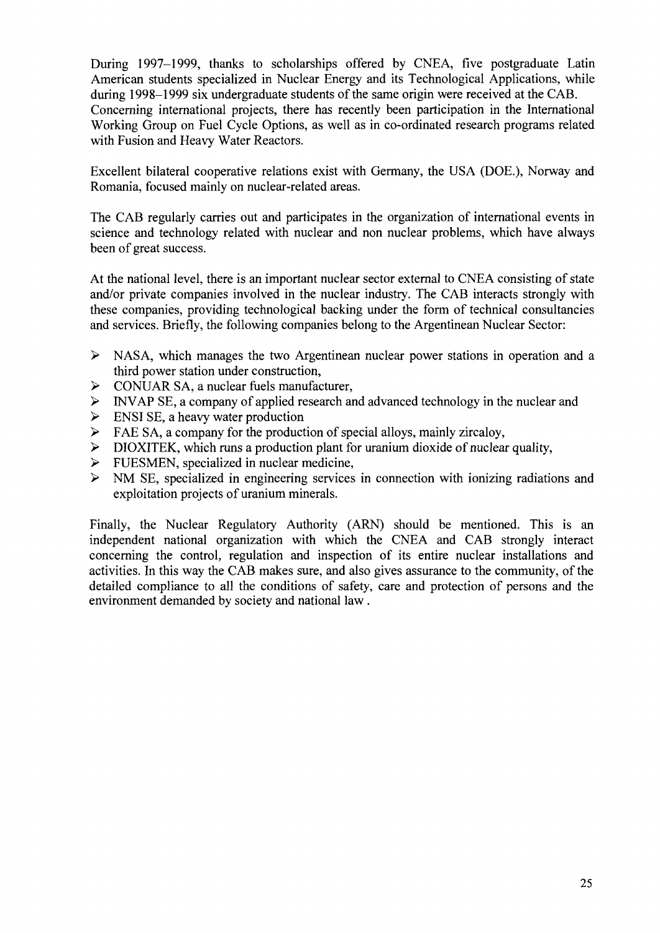During 1997-1999, thanks to scholarships offered by CNEA, five postgraduate Latin American students specialized in Nuclear Energy and its Technological Applications, while during 1998-1999 six undergraduate students of the same origin were received at the CAB. Concerning international projects, there has recently been participation in the International Working Group on Fuel Cycle Options, as well as in co-ordinated research programs related with Fusion and Heavy Water Reactors.

Excellent bilateral cooperative relations exist with Germany, the USA (DOE.), Norway and Romania, focused mainly on nuclear-related areas.

The CAB regularly carries out and participates in the organization of international events in science and technology related with nuclear and non nuclear problems, which have always been of great success.

At the national level, there is an important nuclear sector external to CNEA consisting of state and/or private companies involved in the nuclear industry. The CAB interacts strongly with these companies, providing technological backing under the form of technical consultancies and services. Briefly, the following companies belong to the Argentinean Nuclear Sector:

- > NASA, which manages the two Argentinean nuclear power stations in operation and a third power station under construction,
- $\triangleright$  CONUAR SA, a nuclear fuels manufacturer,
- > INVAP SE, a company of applied research and advanced technology in the nuclear and
- $\triangleright$  ENSI SE, a heavy water production
- $\triangleright$  FAE SA, a company for the production of special alloys, mainly zircaloy,
- > DIOXITEK, which runs a production plant for uranium dioxide of nuclear quality,
- $\geq$  FUESMEN, specialized in nuclear medicine,<br> $\geq$  NM SE, specialized in engineering services
- NM SE, specialized in engineering services in connection with ionizing radiations and exploitation projects of uranium minerals.

Finally, the Nuclear Regulatory Authority (ARN) should be mentioned. This is an independent national organization with which the CNEA and CAB strongly interact concerning the control, regulation and inspection of its entire nuclear installations and activities. In this way the CAB makes sure, and also gives assurance to the community, of the detailed compliance to all the conditions of safety, care and protection of persons and the environment demanded by society and national law .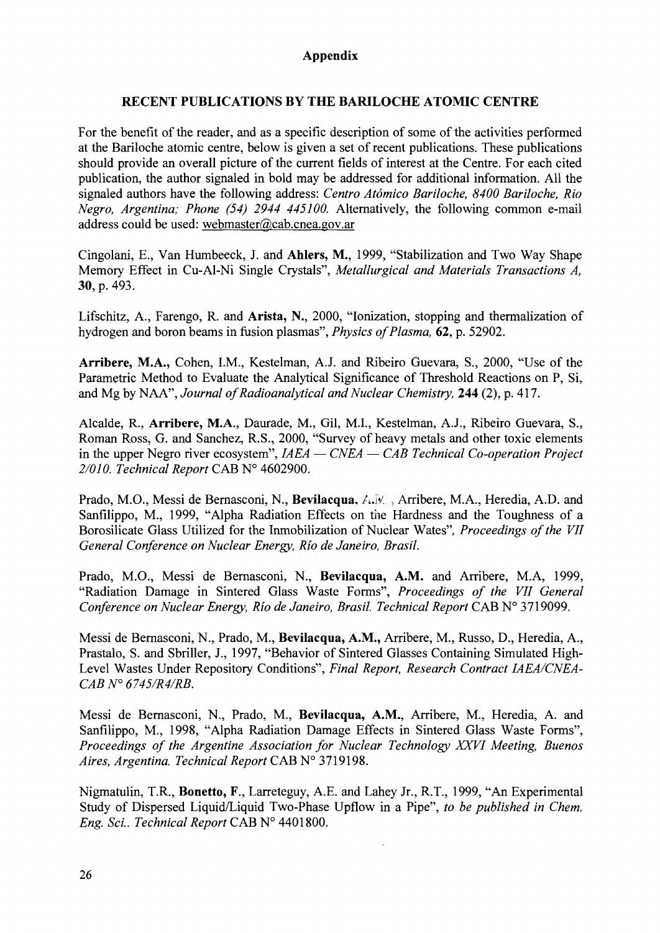# **Appendix**

### **RECENT PUBLICATIONS BY THE BARILOCHE ATOMIC CENTRE**

For the benefit of the reader, and as a specific description of some of the activities performed at the Bariloche atomic centre, below is given a set of recent publications. These publications should provide an overall picture of the current fields of interest at the Centre. For each cited publication, the author signaled in bold may be addressed for additional information. All the signaled authors have the following address: *Centro Atomico Bariloche, 8400 Bariloche, Rio Negro, Argentina; Phone (54) 2944 445100.* Alternatively, the following common e-mail address could be used: webmaster@cab.cnea.gov.ar

Cingolani, E., Van Humbeeck, J. and Ahlers, M., 1999, "Stabilization and Two Way Shape Memory Effect in Cu-Al-Ni Single Crystals", *Metallurgical and Materials Transactions A,* 30, p. 493.

Lifschitz, A., Farengo, R. and **Arista,** N., 2000, "Ionization, stopping and thermalization of hydrogen and boron beams in fusion plasmas", *Physics of Plasma,* 62, p. 52902.

**Arribere, M.A.,** Cohen, I.M., Kestelman, A.J. and Ribeiro Guevara, S., 2000, "Use of the Parametric Method to Evaluate the Analytical Significance of Threshold Reactions on P, Si, and Mg by NAA", *Journal of Radioanalytical and Nuclear Chemistry,* 244 (2), p. 417.

Alcalde, R., **Arribere,** M.A., Daurade, M., Gil, M.I., Kestelman, A.J., Ribeiro Guevara, S., Roman Ross, G. and Sanchez, R.S., 2000, "Survey of heavy metals and other toxic elements in the upper Negro river ecosystem", *IAEA* — *CNEA* — *CAB Technical Co-operation Project 2/010. Technical Report* CAB N° 4602900.

Prado, M.O., Messi de Bernasconi, N., **Bevilacqua,** A.IV. , Arribere, M.A., Heredia, A.D. and Sanfilippo, M., 1999, "Alpha Radiation Effects on the Hardness and the Toughness of a Borosilicate Glass Utilized for the Inmobilization of Nuclear Wates", *Proceedings of the VII General Conference on Nuclear Energy, Rio de Janeiro, Brasil.*

Prado, M.O., Messi de Bernasconi, N., **Bevilacqua, A.M.** and Arribere, M.A, 1999, "Radiation Damage in Sintered Glass Waste Forms", *Proceedings of the VII General Conference on Nuclear Energy, Rio de Janeiro, Brasil. Technical Report* CAB N° 3719099.

Messi de Bernasconi, N., Prado, M., **Bevilacqua, A.M.,** Arribere, M., Russo, D., Heredia, A., Prastalo, S. and Sbriller, J., 1997, "Behavior of Sintered Glasses Containing Simulated High-Level Wastes Under Repository Conditions", *Final Report, Research Contract IAEA/CNEA-CAB N° 6745/R4/RB.*

Messi de Bernasconi, N., Prado, M., **Bevilacqua, A.M.,** Arribere, M., Heredia, A. and Sanfilippo, M., 1998, "Alpha Radiation Damage Effects in Sintered Glass Waste Forms", *Proceedings of the Argentine Association for Nuclear Technology XXVI Meeting, Buenos Aires, Argentina. Technical Report CABW* 3719198.

Nigmatulin, T.R., **Bonetto, F.,** Larreteguy, A.E. and Lahey Jr., R.T., 1999, "An Experimental Study of Dispersed Liquid/Liquid Two-Phase Upflow in a Pipe", *to be published in Chem. Eng. Sci.. Technical Report* CAB N° 4401800.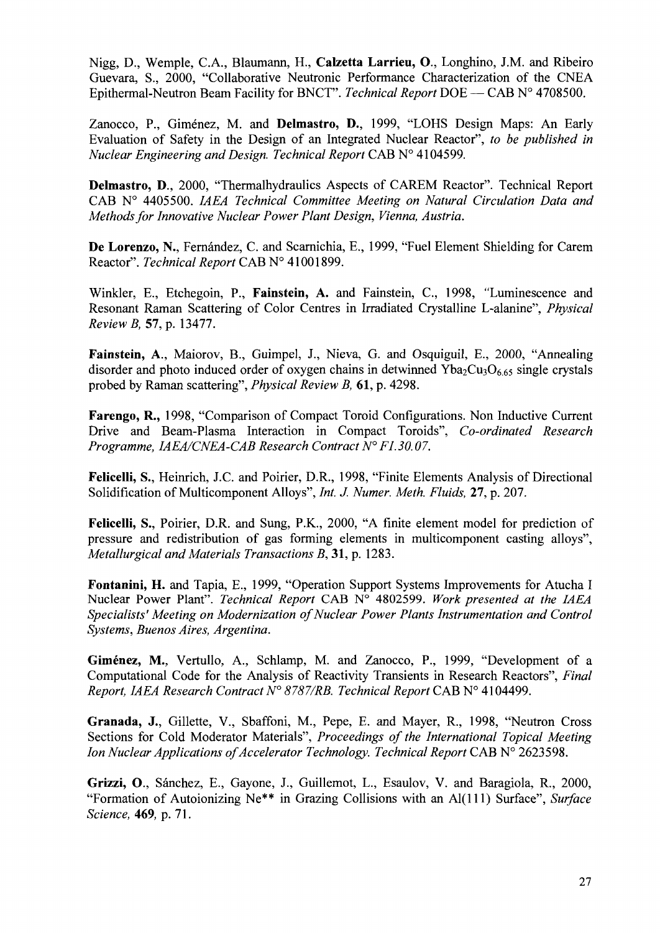Nigg, D., Wemple, CA., Blaumann, H., **Calzetta Larrieu, О.,** Longhino, J.M. and Ribeiro Guevara, S., 2000, "Collaborative Neutronic Performance Characterization of the CNEA Epithermal-Neutron Beam Facility for BNCT". *Technical Report* DOE — CAB № 4708500.

Zanocco, P., Giménez, M. and **Delmastro, D.,** 1999, "LOHS Design Maps: An Early Evaluation of Safety in the Design of an Integrated Nuclear Reactor", *to be published in Nuclear Engineering and Design. Technical Report* CAB № 4104599.

**Delmastro, D.,** 2000, "Thermalhydraulics Aspects of CAREM Reactor". Technical Report CAB № 4405500. *IAEA Technical Committee Meeting on Natural Circulation Data and Methods for Innovative Nuclear Power Plant Design, Vienna, Austria.*

De Lorenzo, N., Fernández, C. and Scarnichia, E., 1999, "Fuel Element Shielding for Carem Reactor". *Technical Report* CAB № 41001899.

Winkler, E., Etchegoin, P., **Fainstein, A.** and Fainstein, C, 1998, "Luminescence and Resonant Raman Scattering of Color Centres in Irradiated Crystalline L-alanine", *Physical Review B,* 57, p. 13477.

**Fainstein,** A., Maiorov, В., Guimpel, J., Nieva, G. and Osquiguil, E., 2000, "Annealing disorder and photo induced order of oxygen chains in detwinned  $Yba_2Cu_3O_665$  single crystals probed by Raman scattering", *Physical Review B,* 61, p. 4298.

**Farengo,** R., 1998, "Comparison of Compact Toroid Configurations. Non Inductive Current Drive and Beam-Plasma Interaction in Compact Toroids", *Co-ordinated Research Programme, IAEA/CNEA-CAB Research Contract № F 1.30.07.*

**Felicelli,** S., Heinrich, J.C. and Poirier, D.R., 1998, "Finite Elements Analysis of Directional Solidification of Multicomponent Alloys", *Int. J. Numer. Meth. Fluids,* **27,** p. 207.

**Felicelli,** S., Poirier, D.R. and Sung, P.K., 2000, "A finite element model for prediction of pressure and redistribution of gas forming elements in multicomponent casting alloys", *Metallurgical and Materials Transactions B,* 31, p. 1283.

**Fontanini, H.** and Tapia, E., 1999, "Operation Support Systems Improvements for Atucha I Nuclear Power Plant". *Technical Report* CAB № 4802599. *Work presented at the IAEA Specialists' Meeting on Modernization of Nuclear Power Plants Instrumentation and Control Systems, Buenos Aires, Argentina.*

**Giménez,** M., Vertullo, A., Schlamp, M. and Zanocco, P., 1999, "Development of a Computational Code for the Analysis of Reactivity Transients in Research Reactors", *Final Report, IAEA Research Contract № 8787/RB. Technical Report* CAB № 4104499.

**Granada, J.,** Gillette, V., Sbaffoni, M, Pepe, E. and Mayer, R., 1998, "Neutron Cross Sections for Cold Moderator Materials", *Proceedings of the International Topical Meeting Ion Nuclear Applications of Accelerator Technology. Technical Report* CAB N° 2623598.

**Grizzi,** O., Sanchez, E., Gayone, J., Guillemot, L., Esaulov, V. and Baragiola, R., 2000, "Formation of Autoionizing Ne\*\* in Grazing Collisions with an Al(lll) Surface", *Surface Science,* **469,** p. 71.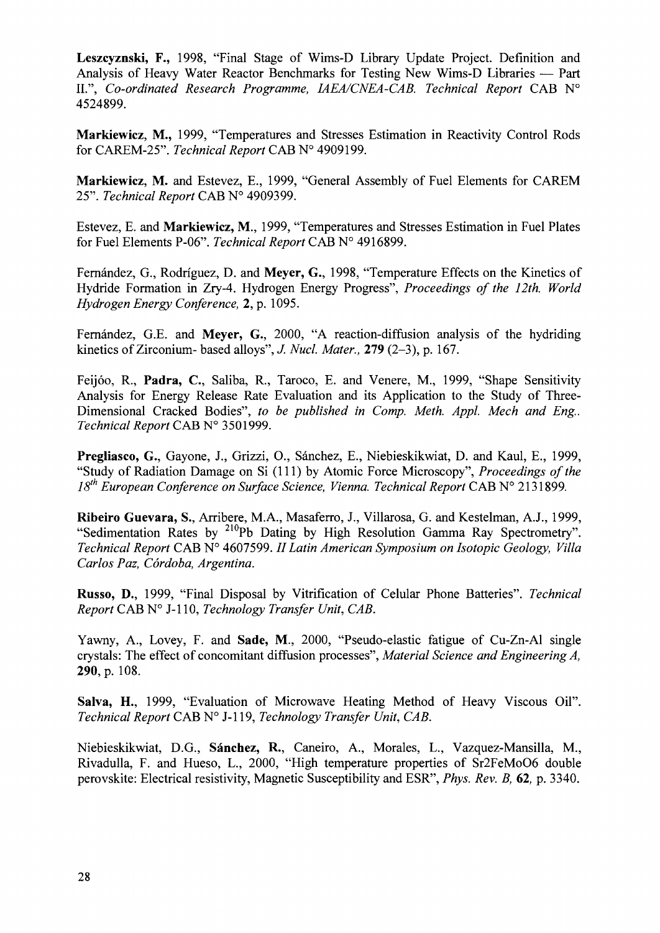**Leszcyznski, F.,** 1998, "Final Stage of Wims-D Library Update Project. Definition and Analysis of Heavy Water Reactor Benchmarks for Testing New Wims-D Libraries — Part II.", *Co-ordinated Research Programme, IAEA/CNEA-CAB. Technical Report* CAB N° 4524899.

**Markiewicz, M.,** 1999, "Temperatures and Stresses Estimation in Reactivity Control Rods for CAREM-25". *Technical Report* CAB N° 4909199.

**Markiewicz, M.** and Estevez, E., 1999, "General Assembly of Fuel Elements for CAREM 25". *Technical Report* CAB N° 4909399.

Estevez, E. and **Markiewicz, M.,** 1999, "Temperatures and Stresses Estimation in Fuel Plates for Fuel Elements P-06". *Technical Report* CAB N° 4916899.

Fernández, G., Rodríguez, D. and Meyer, G., 1998. "Temperature Effects on the Kinetics of Hydride Formation in Zry-4. Hydrogen Energy Progress", *Proceedings of the 12th. World Hydrogen Energy Conference,* 2, p. 1095.

Fernández, G.E. and Meyer, G., 2000, "A reaction-diffusion analysis of the hydriding kinetics of Zirconium- based alloys", *J. Nucl. Mater.,* **279** (2-3), p. 167.

Feijoo, R., **Padra,** C, Saliba, R., Taroco, E. and Venere, M., 1999, "Shape Sensitivity Analysis for Energy Release Rate Evaluation and its Application to the Study of Three-Dimensional Cracked Bodies", *to be published in Comp. Meth. Appl. Mech and Eng. Technical Report* CAB N° 3501999.

**Pregliasco, G.,** Gayone, J., Grizzi, O., Sanchez, E., Niebieskikwiat, D. and Kaul, E., 1999, "Study of Radiation Damage on Si (111) by Atomic Force Microscopy", *Proceedings of the 18th European Conference on Surface Science, Vienna. Technical Report* CAB N° 2131899.

**Ribeiro Guevara,** S., Arribere, M.A., Masaferro, J., Villarosa, G. and Kestelman, A.J., 1999, "Sedimentation Rates by <sup>210</sup>Pb Dating by High Resolution Gamma Ray Spectrometry". *Technical Report* CAB N° 4607599. // *Latin American Symposium on Isotopic Geology, Villa Carlos Paz, Cordoba, Argentina.*

**Russo, D.,** 1999, "Final Disposal by Vitrification of Celular Phone Batteries". *Technical Report* CAB N° J-l 10, *Technology Transfer Unit, CAB.*

Yawny, A., Lovey, F. and **Sade, M.,** 2000, "Pseudo-elastic fatigue of Cu-Zn-Al single crystals: The effect of concomitant diffusion processes", *Material Science and Engineering A,* **290,** p. 108.

**Salva, H.,** 1999, "Evaluation of Microwave Heating Method of Heavy Viscous Oil". *Technical Report* CAB N° J-l 19, *Technology Transfer Unit, CAB.*

Niebieskikwiat, D.G., **Sanchez, R.,** Caneiro, A., Morales, L., Vazquez-Mansilla, M., Rivadulla, F. and Hueso, L., 2000, "High temperature properties of Sr2FeMoO6 double perovskite: Electrical resistivity, Magnetic Susceptibility and ESR", *Phys. Rev. B,* 62, p. 3340.